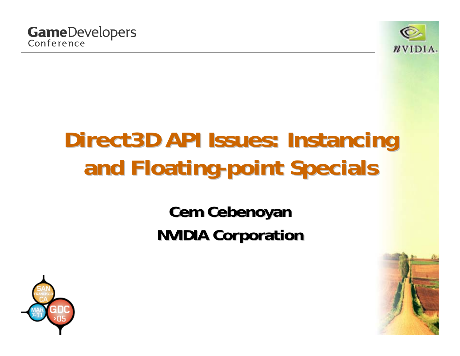

# **Direct3D API Issues: Instancing Direct3D API Issues: Instancing and Floating and Floating -point Specials point Specials**

**Cem Cebenoyan Cem Cebenoyan NVIDIA Corporation NVIDIA Corporation**



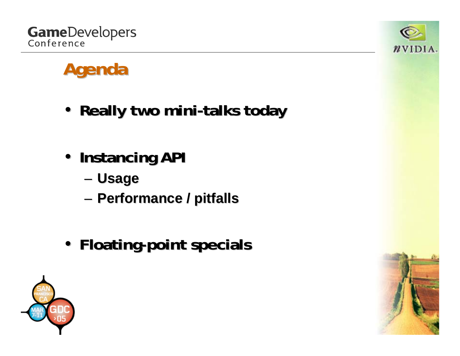



### **Agenda**

- **Really two mini Really two mini-talks today talks today**
- **Instancing API Instancing API**
	- and the state of the **Usage**
	- and the state of the **Performance / pitfalls Performance / pitfalls**
- **Floating Floating-point specials point specials**



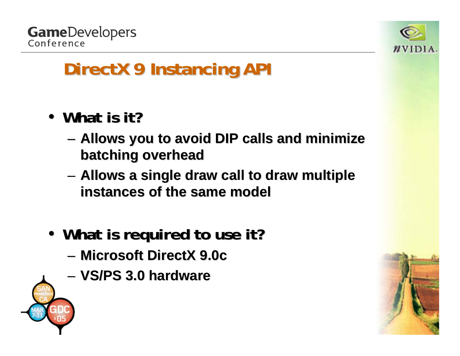

- What is it?
	- –**Allows you to avoid DIP calls and minimize batching overhead batching overhead**
	- –**– Allows a single draw call to draw multiple instances of the same model instances of the same model**
- What is required to use it?
	- **Microsoft DirectX 9.0c Microsoft DirectX 9.0c**
	- **VS/PS 3.0 hardware VS/PS 3.0 hardware**



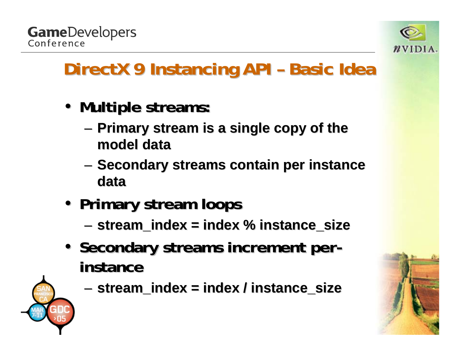



#### **DirectX 9 Instancing API - Basic Idea**

- **Multiple streams: Multiple streams:**
	- **Links of the Company Primary stream is a single copy of the Primary stream is a single copy of the model data model data**
	- –**Secondary streams contain per instance data**
- **Primary stream loops Primary stream loops**
	- **Links of the Company stream\_index stream\_index = index % = index % instance\_size instance\_size**
- Secondary streams increment per  **instance instance**



and the state of the **stream\_index stream\_index = index / = index / instance\_size instance\_size**

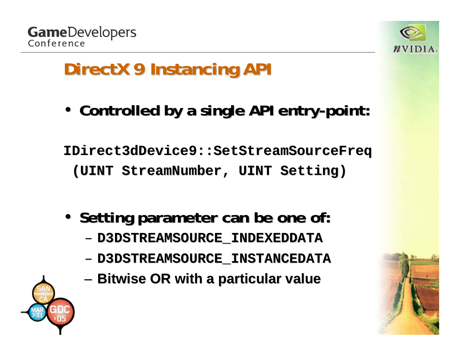



• Controlled by a single API entry-point:

**IDirect3dDevice9::SetStreamSourceFreq IDirect3dDevice9::SetStreamSourceFreq (UINT StreamNumber StreamNumber, UINT Setting) , UINT Setting)**

- Setting parameter can be one of:
	- **D3DSTREAMSOURCE\_INDEXEDDATA D3DSTREAMSOURCE\_INDEXEDDATA**
	- **D3DSTREAMSOURCE\_INSTANCEDATA D3DSTREAMSOURCE\_INSTANCEDATA**
	- and the state of the **Bitwise OR with a particular value Bitwise OR with a particular value**



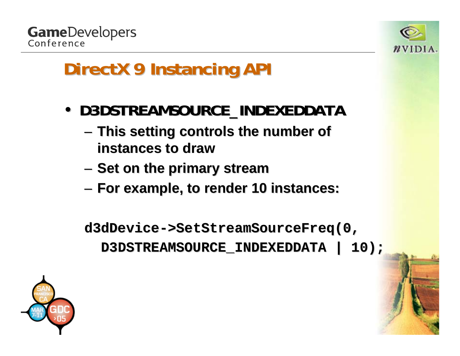



- **D3DSTREAMSOURCE\_INDEXEDDATA D3DSTREAMSOURCE\_INDEXEDDATA**
	- **Links of the Company This setting controls the number of This setting controls the number of instances to draw instances to draw**
	- – $-$  Set on the primary stream
	- –**For example, to render 10 instances: For example, to render 10 instances:**

**d3dDevice d3dDevice ->SetStreamSourceFreq(0, >SetStreamSourceFreq(0, D3DSTREAMSOURCE\_INDEXEDDATA | 10); D3DSTREAMSOURCE\_INDEXEDDATA | 10);**

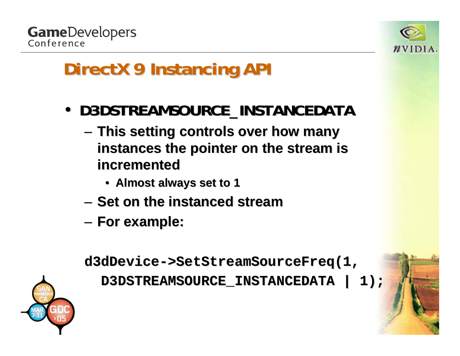



- **D3DSTREAMSOURCE\_INSTANCEDATA** 
	- **Links of the Company This setting controls over how many This setting controls over how many**  instances the pointer on the stream is **incremented incremented**
		- **Almost always set to 1 Almost always set to 1**
	- $-$  Set on the instanced stream
	- **Links of the Company For example: For example:**

**d3dDevice d3dDevice ->SetStreamSourceFreq(1, >SetStreamSourceFreq(1,**

**D3DSTREAMSOURCE\_INSTANCEDATA | 1); D3DSTREAMSOURCE\_INSTANCEDATA | 1);**

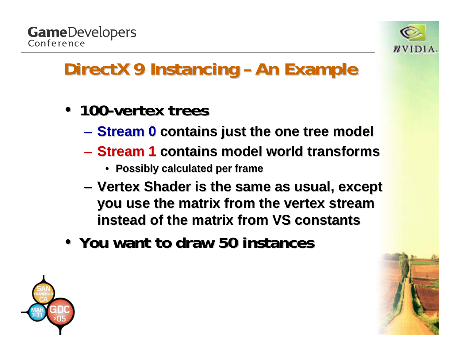

#### **DirectX 9 Instancing –An Example An Example**

- **100-vertex trees** 
	- **Stream 0 Stream 0 contains just the one tree model contains just the one tree model**
	- **Stream 1 Stream 1 contains model world transforms contains model world transforms**
		- **Possibly calculated per frame Possibly calculated per frame**
	- and the state of the — Vertex Shader is the same as usual, except **i you use the matrix from the vertex stream you use the matrix from the vertex stream instead of the matrix from VS constants instead of the matrix from VS constants**
- **You want to draw 50 instances You want to draw 50 instances**



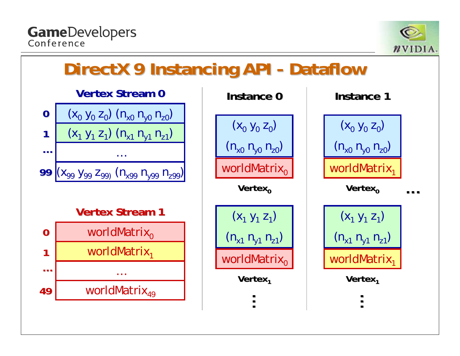**GameDevelopers** Conference



#### **DirectX 9 Instancing API -** Dataflow

**Vertex Stream 0 Vertex Stream 0**



worldMatrix<sub>o</sub> worldMatrix<sub>1</sub> …worldMatrix $_{49}$ **0149… Vertex Stream 1 Vertex Stream 1**

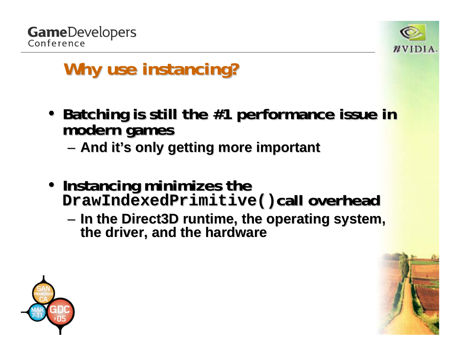

### **Why use instancing? Why use instancing?**

- **Batching is still the #1 performance issue in modern games** 
	- –**And it's only getting more important s only getting more important**
- Instancing minimizes the **Instancing minimizes the Instancing minimizes the DrawIndexedPrimitive() DrawIndexedPrimitive()call overhead overhead**
	- –**In the Direct3D runtime, the operating system, the driver, and the hardware**

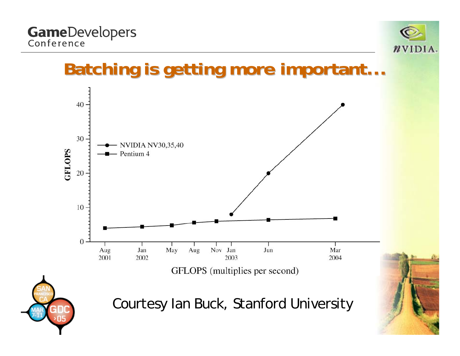# **GameDevelopers**<br>Conference



#### **Batching is getting more important...**





Courtesy Ian Buck, Stanford University

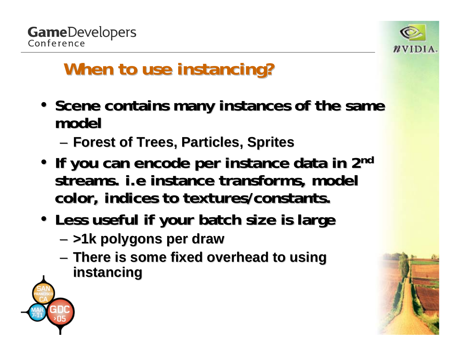

### **When to use instancing? When to use instancing?**

- Scene contains many instances of the same **model**
	- –**Forest of Trees, Particles, Sprites Forest of Trees, Particles, Sprites**
- • **If you can encode per instance data in 2 If you can encode per instance data in 2nd** streams. *i.e* instance transforms, model **color, indices to textures/constants. color, indices to textures/constants.**
- **Less useful if your batch size is large Less useful if your batch size is large**
	- –**>1k polygons per draw >1k polygons per draw**
	- **Links of the Company There is some fixed overhead to using There is some fixed overhead to using instancing instancing**

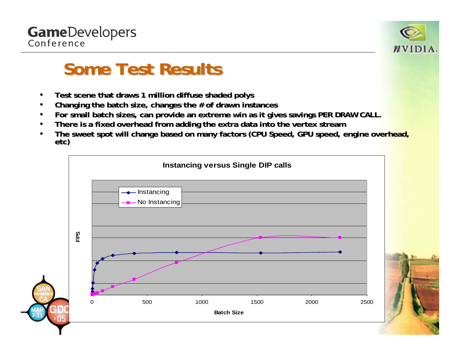



#### **Some Test Results Some Test Results**

- •**Test scene that draws 1 Test scene that draws 1 million diffuse shaded million diffuse shaded polys**
- •Changing the batch size, changes the # of drawn instances
- •For small batch sizes, can provide an extreme win as it gives savings PER DRAW CALL.
- •**•** There is a fixed overhead from adding the extra data into the vertex stream
- •• The sweet spot will change based on many factors (CPU Speed, GPU speed, engine overhead, **etc)**

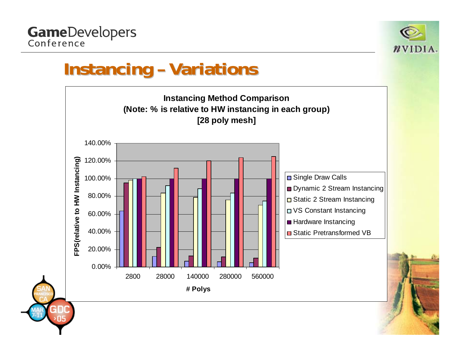

#### **Instancing - Variations**

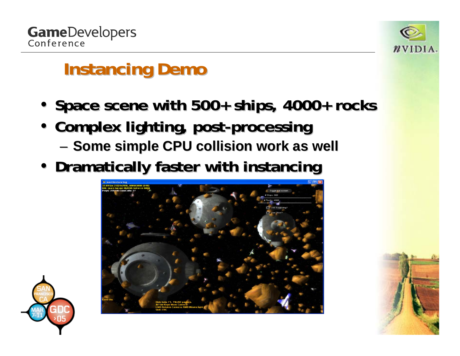

#### **Instancing Demo Instancing Demo**

- Space scene with 500+ ships, 4000+ rocks
- **Complex lighting, post-processing** and the state of the  $-$  Some simple CPU collision work as well
- **Dramatically faster with instancing**



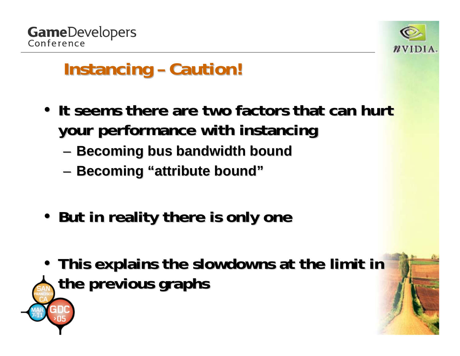

#### **Instancing – Caution!**

- It seems there are two factors that can hurt **your performance with instancing your performance with instancing**
	- –**Becoming bus bandwidth bound**
	- –**Becoming Becoming "attribute bound attribute bound"**
- **But in reality there is only one But in reality there is only one**
- This explains the slowdowns at the limit in **the previous graphs the previous graphs**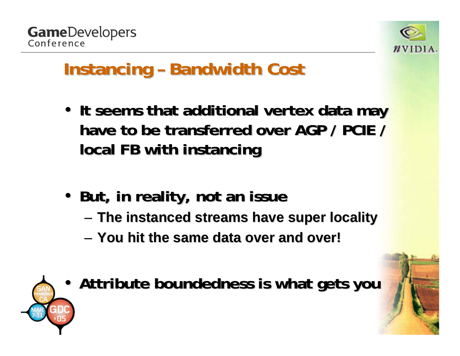

#### **Instancing – Bandwidth Cost**

- It seems that additional vertex data may have to be transferred over AGP / PCIE / **local FB with instancing local FB with instancing**
- **But, in reality, not an issue But, in reality, not an issue**
	- –**The instanced streams have super locality The instanced streams have super locality**
	- **You hit the same data over and over! You hit the same data over and over!**

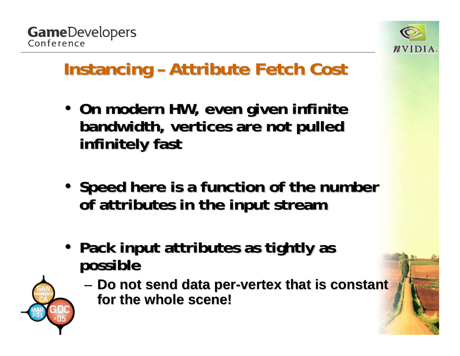

#### **Instancing - Attribute Fetch Cost**

- On modern HW, even given infinite **bandwidth, vertices are not pulled bandwidth, vertices are not pulled infinitely fast infinitely fast**
- Speed here is a function of the number **of attributes in the input stream of attributes in the input stream**
- Pack input attributes as tightly as **possible possible**

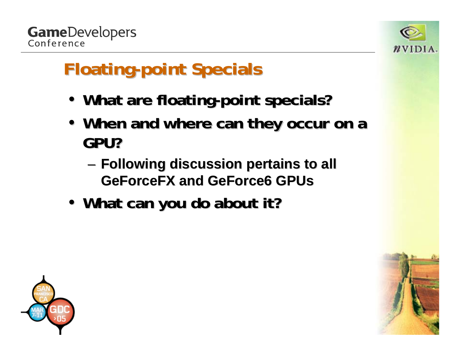



## **Floating Floating-point Specials point Specials**

- What are floating-point specials?
- When and where can they occur on a **GPU?**
	- and the state of the **Following discussion pertains to all Following discussion pertains to all GeForceFX and GeForce6 GPUs GeForceFX and GeForce6 GPUs**
- What can you do about it?



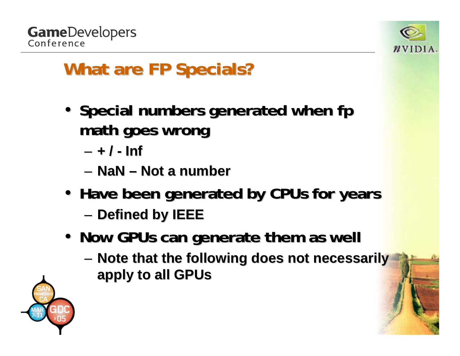



### **What are FP Specials? What are FP Specials?**

- Special numbers generated when fp **math goes wrong math goes wrong**
	- **+ / - Inf**
	- **NaN – Not a number Not a number**
- **Have been generated by CPUs for years Have been generated by CPUs for years**
	- and the state of the **Defined by IEEE Defined by IEEE**
- Now GPUs can generate them as well
	- **Links of the Company – Note that the following does not necessarily apply to all GPUs apply to all GPUs**

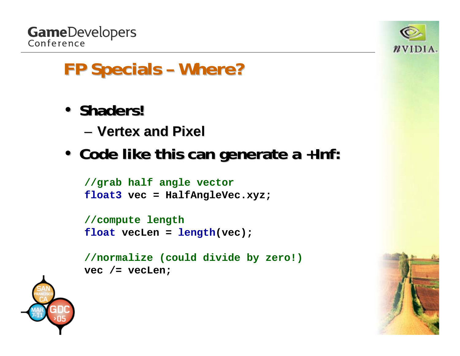



- **Shaders! Shaders!**
	- **Vertex and Pixel Vertex and Pixel**
- **Code like this can generate a +Inf: Code like this can generate a +Inf:**

```
//grab half angle vector
float3 vec = HalfAngleVec.xyz;
```

```
//compute length
float vecLen = length(vec);
```

```
//normalize (could divide by zero!)
vec /= vecLen;
```


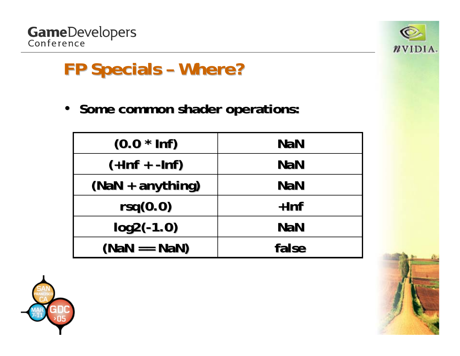



 $\bullet$ **Some common shader operations:** 

| $(0.0 * ln f)$   | <b>NaN</b> |
|------------------|------------|
| $(+lnf + -lnf)$  | <b>NaN</b> |
| (NaN + anything) | <b>NaN</b> |
| rsq(0.0)         | $+$ Inf    |
| $log2(-1.0)$     | <b>NaN</b> |
| $(NaN == NaN)$   | false      |



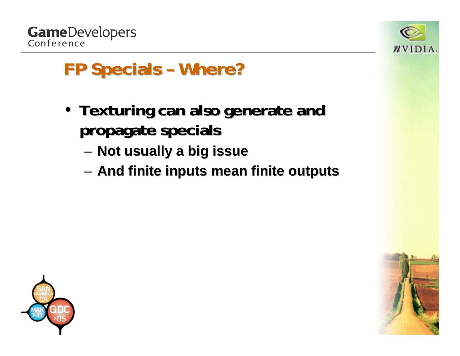



- Texturing can also generate and **propagate specials propagate specials**
	- –**Not usually a big issue Not usually a big issue**
	- –**And finite inputs mean finite outputs And finite inputs mean finite outputs**



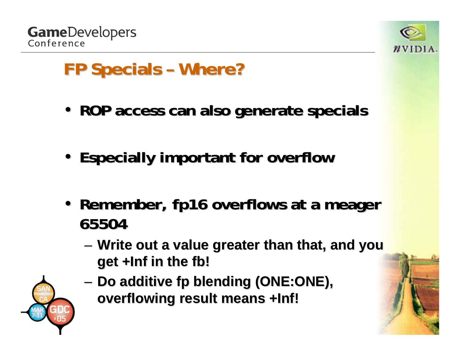



- **ROP access can also generate specials ROP access can also generate specials**
- **Especially important for overflow Especially important for overflow**
- Remember, fp16 overflows at a meager **65504**
	- and the state of the **– Write out a value greater than that, and you get +Inf in the get +Inf in the fb!**
	- **Links of the Company Do additive fp blending (ONE:ONE),**  $\blacksquare$ **overflowing result means +Inf! overflowing result means +Inf!**

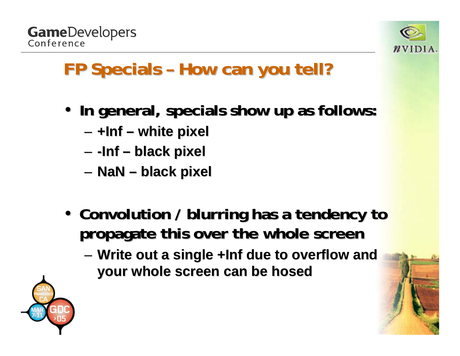



#### **FP Specials - How can you tell?**

- **In general, specials show up as follows: In general, specials show up as follows:**
	- **Links of the Common +Inf – white pixel white pixel**
	- **Links of the Common -Inf – black pixel black pixel**
	- **Links of the Common NaN – black pixel black pixel**
- Convolution / blurring has a tendency to **propagate this over the whole screen propagate this over the whole screen**
	- and the state of the – Write out a single +Inf due to overflow and **your whole screen can be hosed your whole screen can be hosed**

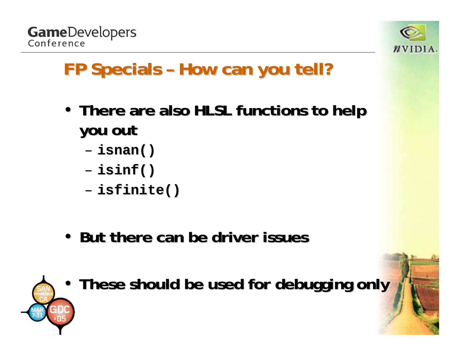



#### **FP Specials - How can you tell?**

- There are also HLSL functions to help **you out you out**
	- **isnan()**
	- **isinf()**
	- **isfinite isfinite()**
- But there can be driver issues



• **These should be used for debugging only These should be used for debugging only**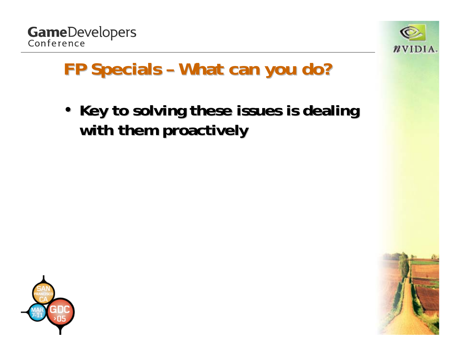



#### **FP Specials - What can you do?**

• Key to solving these issues is dealing **with them proactively with them proactively**



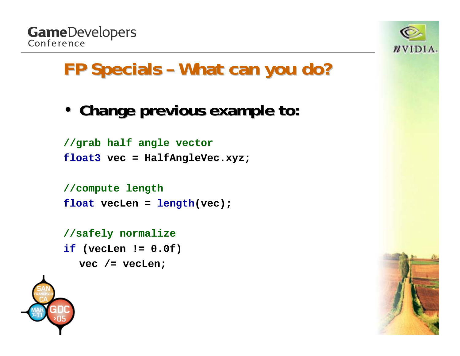



#### **FP Specials - What can you do?**

• **Change previous example to: Change previous example to:**

```
//grab half angle vector
float3 vec = HalfAngleVec.xyz;
```

```
//compute length
float vecLen = length(vec);
```

```
//safely normalize
```
**if (vecLen != 0.0f)**

```
vec /= vecLen;
```


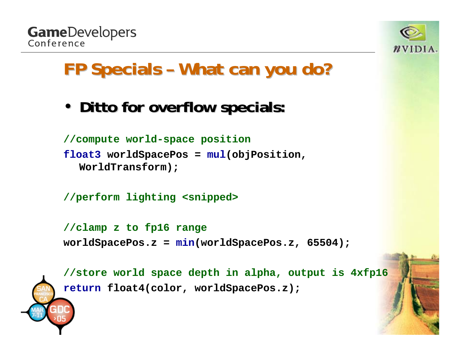



#### **FP Specials - What can you do?**

• **Ditto for overflow specials: Ditto for overflow specials:**

```
//compute world-space position
float3 worldSpacePos = mul(objPosition, 
  WorldTransform);
```

```
//perform lighting <snipped>
```

```
//clamp z to fp16 range
worldSpacePos.z = min(worldSpacePos.z, 65504);
```
**//store world space depth in alpha, output is 4xfp16 return float4(color, worldSpacePos.z);**